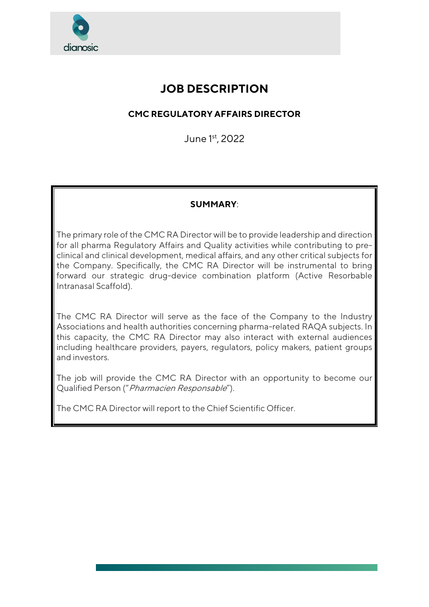

# **JOB DESCRIPTION**

# **CMC REGULATORY AFFAIRS DIRECTOR**

June 1st, 2022

## **SUMMARY**:

The primary role of the CMC RA Director will be to provide leadership and direction for all pharma Regulatory Affairs and Quality activities while contributing to preclinical and clinical development, medical affairs, and any other critical subjects for the Company. Specifically, the CMC RA Director will be instrumental to bring forward our strategic drug-device combination platform (Active Resorbable Intranasal Scaffold).

The CMC RA Director will serve as the face of the Company to the Industry Associations and health authorities concerning pharma-related RAQA subjects. In this capacity, the CMC RA Director may also interact with external audiences including healthcare providers, payers, regulators, policy makers, patient groups and investors.

The job will provide the CMC RA Director with an opportunity to become our Qualified Person ("Pharmacien Responsable").

The CMC RA Director will report to the Chief Scientific Officer.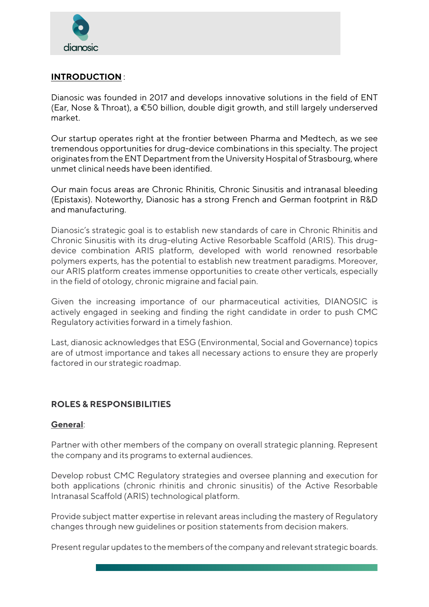

#### **INTRODUCTION** :

Dianosic was founded in 2017 and develops innovative solutions in the field of ENT (Ear, Nose & Throat), a €50 billion, double digit growth, and still largely underserved market.

Our startup operates right at the frontier between Pharma and Medtech, as we see tremendous opportunities for drug-device combinations in this specialty. The project originates from the ENT Department from the University Hospital of Strasbourg, where unmet clinical needs have been identified.

Our main focus areas are Chronic Rhinitis, Chronic Sinusitis and intranasal bleeding (Epistaxis). Noteworthy, Dianosic has a strong French and German footprint in R&D and manufacturing.

Dianosic's strategic goal is to establish new standards of care in Chronic Rhinitis and Chronic Sinusitis with its drug-eluting Active Resorbable Scaffold (ARIS). This drugdevice combination ARIS platform, developed with world renowned resorbable polymers experts, has the potential to establish new treatment paradigms. Moreover, our ARIS platform creates immense opportunities to create other verticals, especially in the field of otology, chronic migraine and facial pain.

Given the increasing importance of our pharmaceutical activities, DIANOSIC is actively engaged in seeking and finding the right candidate in order to push CMC Regulatory activities forward in a timely fashion.

Last, dianosic acknowledges that ESG (Environmental, Social and Governance) topics are of utmost importance and takes all necessary actions to ensure they are properly factored in our strategic roadmap.

## **ROLES & RESPONSIBILITIES**

#### **General**:

Partner with other members of the company on overall strategic planning. Represent the company and its programs to external audiences.

Develop robust CMC Regulatory strategies and oversee planning and execution for both applications (chronic rhinitis and chronic sinusitis) of the Active Resorbable Intranasal Scaffold (ARIS) technological platform.

Provide subject matter expertise in relevant areas including the mastery of Regulatory changes through new guidelines or position statements from decision makers.

Present regular updates to the members of the company and relevant strategic boards.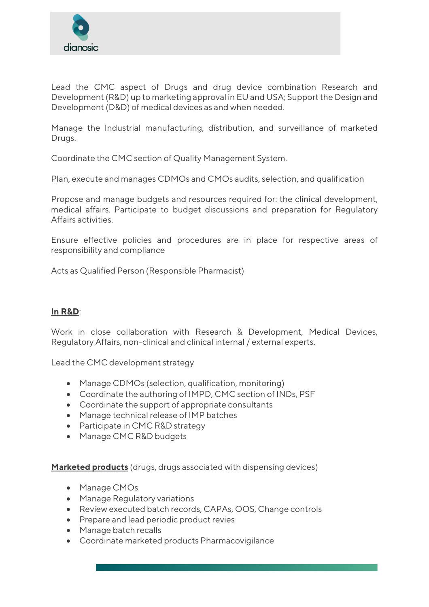

Lead the CMC aspect of Drugs and drug device combination Research and Development (R&D) up to marketing approval in EU and USA; Support the Design and Development (D&D) of medical devices as and when needed.

Manage the Industrial manufacturing, distribution, and surveillance of marketed Drugs.

Coordinate the CMC section of Quality Management System.

Plan, execute and manages CDMOs and CMOs audits, selection, and qualification

Propose and manage budgets and resources required for: the clinical development, medical affairs. Participate to budget discussions and preparation for Regulatory Affairs activities.

Ensure effective policies and procedures are in place for respective areas of responsibility and compliance

Acts as Qualified Person (Responsible Pharmacist)

#### **In R&D**:

Work in close collaboration with Research & Development, Medical Devices, Regulatory Affairs, non-clinical and clinical internal / external experts.

Lead the CMC development strategy

- Manage CDMOs (selection, qualification, monitoring)
- Coordinate the authoring of IMPD, CMC section of INDs, PSF
- Coordinate the support of appropriate consultants
- Manage technical release of IMP batches
- Participate in CMC R&D strategy
- Manage CMC R&D budgets

**Marketed products** (drugs, drugs associated with dispensing devices)

- Manage CMOs
- Manage Regulatory variations
- Review executed batch records, CAPAs, OOS, Change controls
- Prepare and lead periodic product revies
- Manage batch recalls
- Coordinate marketed products Pharmacovigilance